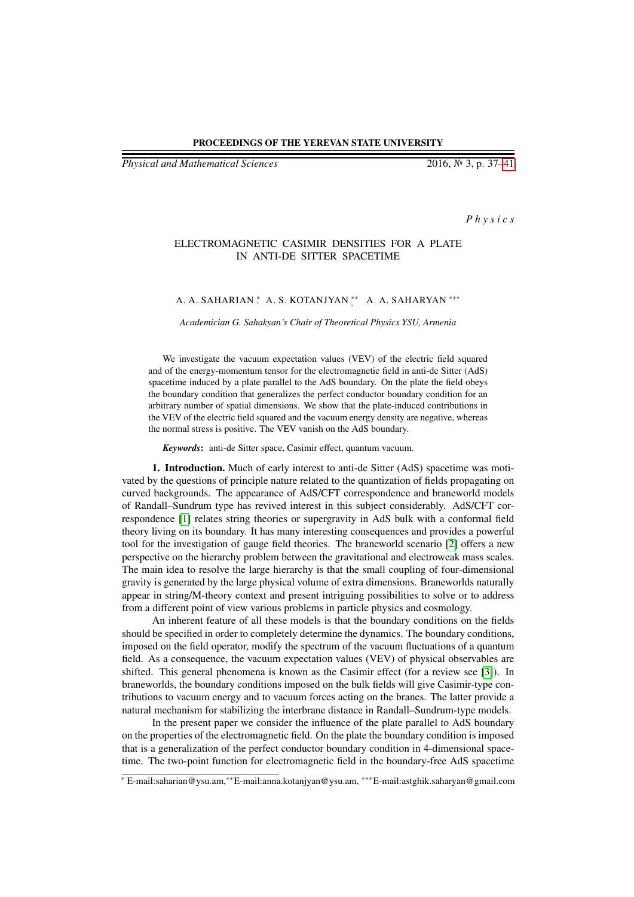## PROCEEDINGS OF THE YEREVAN STATE UNIVERSITY

*Physical and Mathematical Sciences* 2016, № 3, p. 37[–41](#page-4-0)

*P h y s i c s*

## ELECTROMAGNETIC CASIMIR DENSITIES FOR A PLATE IN ANTI-DE SITTER SPACETIME

## A. A. SAHARIAN \*, A. S. KOTANJYAN \*\*, A. A. SAHARYAN \*\*\*

*Academician G. Sahakyan's Chair of Theoretical Physics YSU, Armenia*

We investigate the vacuum expectation values (VEV) of the electric field squared and of the energy-momentum tensor for the electromagnetic field in anti-de Sitter (AdS) spacetime induced by a plate parallel to the AdS boundary. On the plate the field obeys the boundary condition that generalizes the perfect conductor boundary condition for an arbitrary number of spatial dimensions. We show that the plate-induced contributions in the VEV of the electric field squared and the vacuum energy density are negative, whereas the normal stress is positive. The VEV vanish on the AdS boundary.

*Keywords*: anti-de Sitter space, Casimir effect, quantum vacuum.

1. Introduction. Much of early interest to anti-de Sitter (AdS) spacetime was motivated by the questions of principle nature related to the quantization of fields propagating on curved backgrounds. The appearance of AdS/CFT correspondence and braneworld models of Randall–Sundrum type has revived interest in this subject considerably. AdS/CFT correspondence [\[1\]](#page-4-1) relates string theories or supergravity in AdS bulk with a conformal field theory living on its boundary. It has many interesting consequences and provides a powerful tool for the investigation of gauge field theories. The braneworld scenario [\[2\]](#page-4-2) offers a new perspective on the hierarchy problem between the gravitational and electroweak mass scales. The main idea to resolve the large hierarchy is that the small coupling of four-dimensional gravity is generated by the large physical volume of extra dimensions. Braneworlds naturally appear in string/M-theory context and present intriguing possibilities to solve or to address from a different point of view various problems in particle physics and cosmology.

An inherent feature of all these models is that the boundary conditions on the fields should be specified in order to completely determine the dynamics. The boundary conditions, imposed on the field operator, modify the spectrum of the vacuum fluctuations of a quantum field. As a consequence, the vacuum expectation values (VEV) of physical observables are shifted. This general phenomena is known as the Casimir effect (for a review see [\[3\]](#page-4-3)). In braneworlds, the boundary conditions imposed on the bulk fields will give Casimir-type contributions to vacuum energy and to vacuum forces acting on the branes. The latter provide a natural mechanism for stabilizing the interbrane distance in Randall–Sundrum-type models.

In the present paper we consider the influence of the plate parallel to AdS boundary on the properties of the electromagnetic field. On the plate the boundary condition is imposed that is a generalization of the perfect conductor boundary condition in 4-dimensional spacetime. The two-point function for electromagnetic field in the boundary-free AdS spacetime

<sup>∗</sup> E-mail:saharian@ysu.am,∗∗E-mail:anna.kotanjyan@ysu.am, ∗∗∗E-mail:astghik.saharyan@gmail.com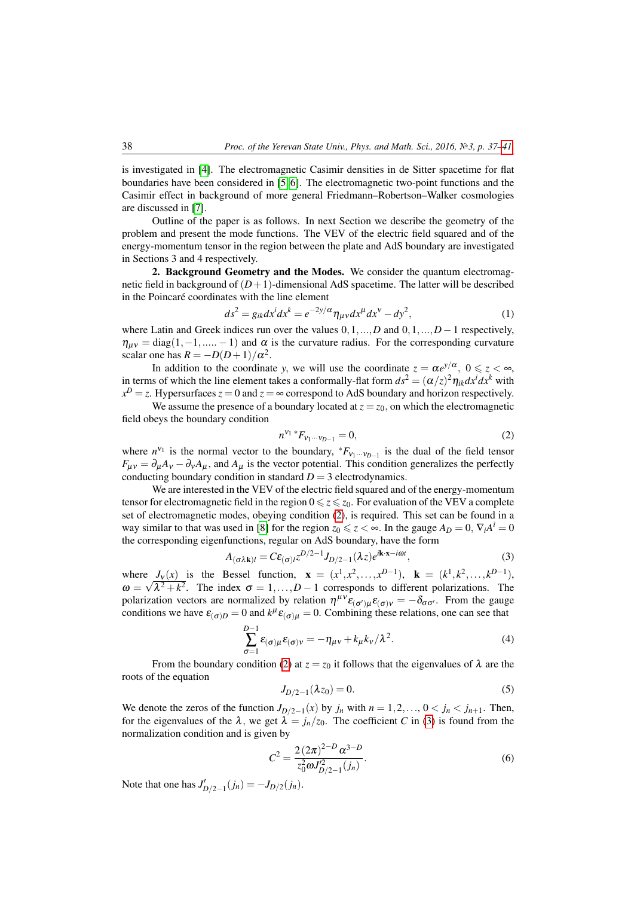is investigated in [\[4\]](#page-4-4). The electromagnetic Casimir densities in de Sitter spacetime for flat boundaries have been considered in [\[5,](#page-4-5) [6\]](#page-4-6). The electromagnetic two-point functions and the Casimir effect in background of more general Friedmann–Robertson–Walker cosmologies are discussed in [\[7\]](#page-4-7).

Outline of the paper is as follows. In next Section we describe the geometry of the problem and present the mode functions. The VEV of the electric field squared and of the energy-momentum tensor in the region between the plate and AdS boundary are investigated in Sections 3 and 4 respectively.

2. Background Geometry and the Modes. We consider the quantum electromagnetic field in background of  $(D+1)$ -dimensional AdS spacetime. The latter will be described in the Poincaré coordinates with the line element

$$
ds^2 = g_{ik}dx^i dx^k = e^{-2y/\alpha} \eta_{\mu\nu} dx^{\mu} dx^{\nu} - dy^2,
$$
\n(1)

where Latin and Greek indices run over the values 0,1,...,*D* and 0,1,...,*D*−1 respectively,  $\eta_{\mu\nu} = \text{diag}(1, -1, \dots, -1)$  and  $\alpha$  is the curvature radius. For the corresponding curvature scalar one has  $R = -D(D+1)/\alpha^2$ .

In addition to the coordinate *y*, we will use the coordinate  $z = \alpha e^{y/\alpha}$ ,  $0 \le z < \infty$ , in terms of which the line element takes a conformally-flat form  $ds^2 = (\alpha/z)^2 \eta_{ik} dx^i dx^k$  with  $x^D = z$ . Hypersurfaces  $z = 0$  and  $z = \infty$  correspond to AdS boundary and horizon respectively.

We assume the presence of a boundary located at  $z = z<sub>0</sub>$ , on which the electromagnetic field obeys the boundary condition

<span id="page-1-0"></span>
$$
n^{V_1} * F_{V_1 \cdots V_{D-1}} = 0,\t\t(2)
$$

where  $n^{v_1}$  is the normal vector to the boundary,  ${}^*F_{v_1\cdots v_{D-1}}$  is the dual of the field tensor  $F_{\mu\nu} = \partial_{\mu}A_{\nu} - \partial_{\nu}A_{\mu}$ , and  $A_{\mu}$  is the vector potential. This condition generalizes the perfectly conducting boundary condition in standard  $D = 3$  electrodynamics.

We are interested in the VEV of the electric field squared and of the energy-momentum tensor for electromagnetic field in the region  $0 \le z \le z_0$ . For evaluation of the VEV a complete set of electromagnetic modes, obeying condition [\(2\)](#page-1-0), is required. This set can be found in a way similar to that was used in [\[8\]](#page-4-8) for the region  $z_0 \leq z < \infty$ . In the gauge  $A_D = 0$ ,  $\nabla_i A^i = 0$ the corresponding eigenfunctions, regular on AdS boundary, have the form

<span id="page-1-1"></span>
$$
A_{(\sigma\lambda\mathbf{k})l} = C\epsilon_{(\sigma)l} z^{D/2-1} J_{D/2-1}(\lambda z) e^{i\mathbf{k}\cdot\mathbf{x}-i\omega t},
$$
\n(3)

where  $J_{\nu}(x)$  is the Bessel function,  $\mathbf{x} = (x^1, x^2, ..., x^{D-1}), \mathbf{k} = (k^1, k^2, ..., k^{D-1}),$  $\omega = \sqrt{\lambda^2 + k^2}$ . The index  $\sigma = 1, ..., D - 1$  corresponds to different polarizations. The polarization vectors are normalized by relation  $\eta^{\mu\nu}\epsilon_{(\sigma)\mu}\epsilon_{(\sigma)\nu} = -\delta_{\sigma\sigma'}$ . From the gauge conditions we have  $\varepsilon_{(\sigma)D} = 0$  and  $k^{\mu} \varepsilon_{(\sigma)\mu} = 0$ . Combining these relations, one can see that

$$
\sum_{\sigma=1}^{D-1} \varepsilon_{(\sigma)\mu} \varepsilon_{(\sigma)\nu} = -\eta_{\mu\nu} + k_{\mu} k_{\nu} / \lambda^2.
$$
 (4)

From the boundary condition [\(2\)](#page-1-0) at  $z = z_0$  it follows that the eigenvalues of  $\lambda$  are the roots of the equation

$$
J_{D/2-1}(\lambda z_0) = 0.
$$
 (5)

We denote the zeros of the function  $J_{D/2-1}(x)$  by  $j_n$  with  $n = 1, 2, \ldots, 0 < j_n < j_{n+1}$ . Then, for the eigenvalues of the  $\lambda$ , we get  $\lambda = j_n/z_0$ . The coefficient *C* in [\(3\)](#page-1-1) is found from the normalization condition and is given by

$$
C^{2} = \frac{2\left(2\pi\right)^{2-D} \alpha^{3-D}}{z_0^2 \omega J_{D/2-1}^2(j_n)}.
$$
\n<sup>(6)</sup>

Note that one has  $J'_{D/2-1}(j_n) = -J_{D/2}(j_n)$ .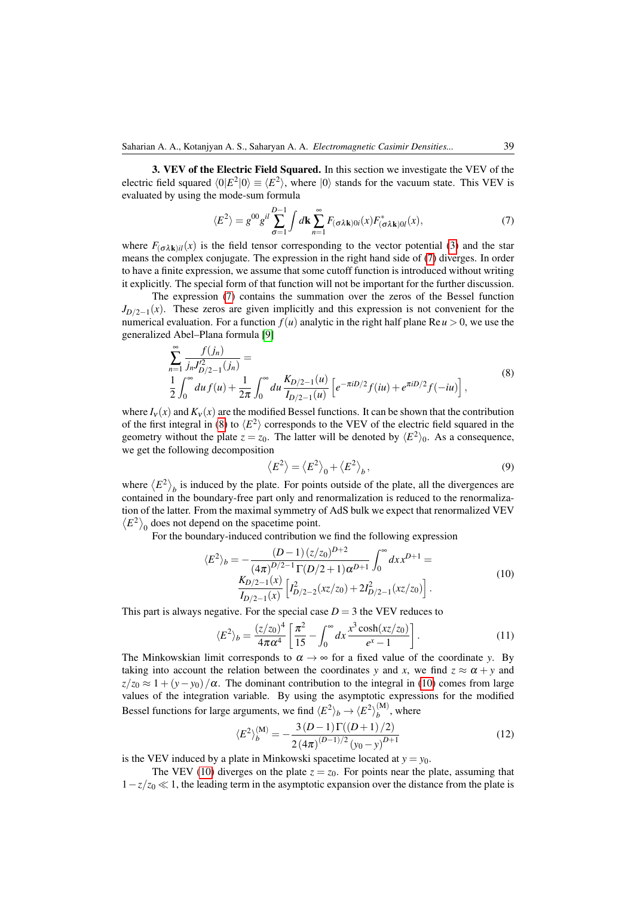3. VEV of the Electric Field Squared. In this section we investigate the VEV of the electric field squared  $\langle 0|E^2|0\rangle \equiv \langle E^2\rangle$ , where  $|0\rangle$  stands for the vacuum state. This VEV is evaluated by using the mode-sum formula

<span id="page-2-0"></span>
$$
\langle E^2 \rangle = g^{00} g^{il} \sum_{\sigma=1}^{D-1} \int d\mathbf{k} \sum_{n=1}^{\infty} F_{(\sigma \lambda \mathbf{k}) 0i}(x) F^*_{(\sigma \lambda \mathbf{k}) 0i}(x), \tag{7}
$$

where  $F_{(\sigma \lambda \mathbf{k})i}(x)$  is the field tensor corresponding to the vector potential [\(3\)](#page-1-1) and the star means the complex conjugate. The expression in the right hand side of [\(7\)](#page-2-0) diverges. In order to have a finite expression, we assume that some cutoff function is introduced without writing it explicitly. The special form of that function will not be important for the further discussion.

The expression [\(7\)](#page-2-0) contains the summation over the zeros of the Bessel function  $J_{D/2-1}(x)$ . These zeros are given implicitly and this expression is not convenient for the numerical evaluation. For a function  $f(u)$  analytic in the right half plane Re $u > 0$ , we use the generalized Abel–Plana formula [\[9\]](#page-4-9)

<span id="page-2-1"></span>
$$
\sum_{n=1}^{\infty} \frac{f(j_n)}{j_n J_{D/2-1}^2(j_n)} =
$$
\n
$$
\frac{1}{2} \int_0^{\infty} du f(u) + \frac{1}{2\pi} \int_0^{\infty} du \frac{K_{D/2-1}(u)}{I_{D/2-1}(u)} \left[ e^{-\pi i D/2} f(iu) + e^{\pi i D/2} f(-iu) \right],
$$
\n(8)

where  $I_V(x)$  and  $K_V(x)$  are the modified Bessel functions. It can be shown that the contribution of the first integral in [\(8\)](#page-2-1) to  $\langle E^2 \rangle$  corresponds to the VEV of the electric field squared in the geometry without the plate  $z = z_0$ . The latter will be denoted by  $\langle E^2 \rangle_0$ . As a consequence, we get the following decomposition

$$
\langle E^2 \rangle = \langle E^2 \rangle_0 + \langle E^2 \rangle_b, \tag{9}
$$

where  $\langle E^2 \rangle_b$  is induced by the plate. For points outside of the plate, all the divergences are contained in the boundary-free part only and renormalization is reduced to the renormalization of the latter. From the maximal symmetry of AdS bulk we expect that renormalized VEV  $\langle E^2 \rangle$ <sub>0</sub> does not depend on the spacetime point.

For the boundary-induced contribution we find the following expression

<span id="page-2-2"></span>
$$
\langle E^2 \rangle_b = -\frac{(D-1)(z/z_0)^{D+2}}{(4\pi)^{D/2-1} \Gamma(D/2+1) \alpha^{D+1}} \int_0^\infty dx x^{D+1} = \frac{K_{D/2-1}(x)}{I_{D/2-1}(x)} \left[ I_{D/2-2}^2(xz/z_0) + 2I_{D/2-1}^2(xz/z_0) \right].
$$
\n(10)

This part is always negative. For the special case  $D = 3$  the VEV reduces to

$$
\langle E^2 \rangle_b = \frac{(z/z_0)^4}{4\pi\alpha^4} \left[ \frac{\pi^2}{15} - \int_0^\infty dx \frac{x^3 \cosh(xz/z_0)}{e^x - 1} \right].
$$
 (11)

The Minkowskian limit corresponds to  $\alpha \to \infty$  for a fixed value of the coordinate *y*. By taking into account the relation between the coordinates *y* and *x*, we find  $z \approx \alpha + y$  and  $z/z_0 \approx 1 + (y - y_0)/\alpha$ . The dominant contribution to the integral in [\(10\)](#page-2-2) comes from large values of the integration variable. By using the asymptotic expressions for the modified Bessel functions for large arguments, we find  $\langle E^2 \rangle_b \rightarrow \langle E^2 \rangle_b^{(M)}$  $b^{(W)}$ , where

<span id="page-2-3"></span>
$$
\langle E^2 \rangle_b^{(\mathbf{M})} = -\frac{3(D-1)\Gamma((D+1)/2)}{2(4\pi)^{(D-1)/2}(y_0 - y)^{D+1}}\tag{12}
$$

is the VEV induced by a plate in Minkowski spacetime located at  $y = y_0$ .

The VEV [\(10\)](#page-2-2) diverges on the plate  $z = z<sub>0</sub>$ . For points near the plate, assuming that  $1-z/z_0 \ll 1$ , the leading term in the asymptotic expansion over the distance from the plate is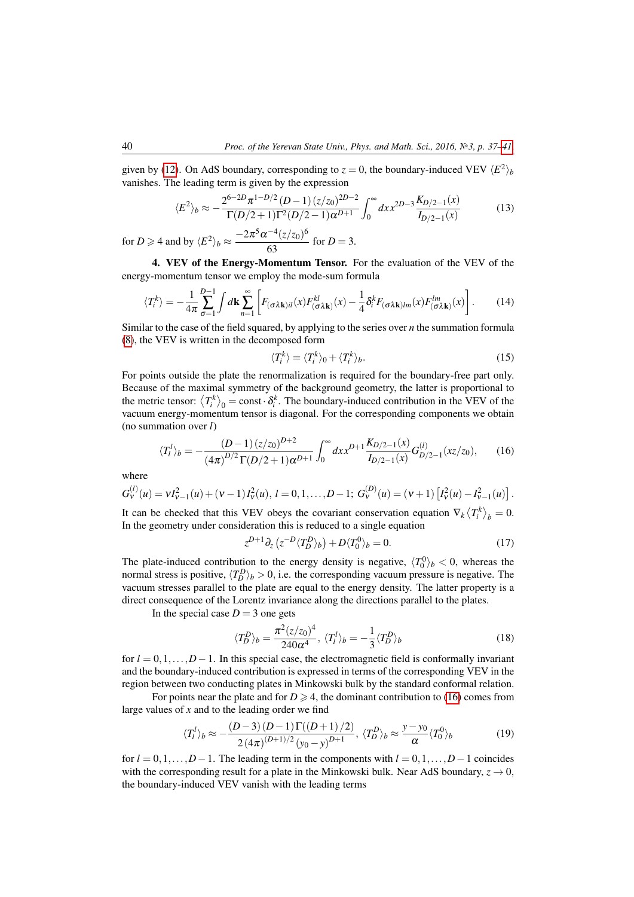given by [\(12\)](#page-2-3). On AdS boundary, corresponding to  $z = 0$ , the boundary-induced VEV  $\langle E^2 \rangle_b$ vanishes. The leading term is given by the expression

$$
\langle E^2 \rangle_b \approx -\frac{2^{6-2D} \pi^{1-D/2} (D-1) (z/z_0)^{2D-2}}{\Gamma(D/2+1) \Gamma^2(D/2-1) \alpha^{D+1}} \int_0^\infty dx x^{2D-3} \frac{K_{D/2-1}(x)}{I_{D/2-1}(x)}
$$
(13)

for  $D \ge 4$  and by  $\langle E^2 \rangle_b \approx \frac{-2\pi^5 \alpha^{-4} (z/z_0)^6}{62}$  $\frac{f(x/20)}{63}$  for  $D = 3$ .

4. VEV of the Energy-Momentum Tensor. For the evaluation of the VEV of the energy-momentum tensor we employ the mode-sum formula

$$
\langle T_i^k \rangle = -\frac{1}{4\pi} \sum_{\sigma=1}^{D-1} \int d\mathbf{k} \sum_{n=1}^{\infty} \left[ F_{(\sigma \lambda \mathbf{k})il}(x) F_{(\sigma \lambda \mathbf{k})}^{kl}(x) - \frac{1}{4} \delta_i^k F_{(\sigma \lambda \mathbf{k})lm}(x) F_{(\sigma \lambda \mathbf{k})}^{lm}(x) \right].
$$
 (14)

Similar to the case of the field squared, by applying to the series over *n* the summation formula [\(8\)](#page-2-1), the VEV is written in the decomposed form

$$
\langle T_i^k \rangle = \langle T_i^k \rangle_0 + \langle T_i^k \rangle_b. \tag{15}
$$

For points outside the plate the renormalization is required for the boundary-free part only. Because of the maximal symmetry of the background geometry, the latter is proportional to the metric tensor:  $\langle T_i^k \rangle_0 = \text{const} \cdot \delta_i^k$ . The boundary-induced contribution in the VEV of the vacuum energy-momentum tensor is diagonal. For the corresponding components we obtain (no summation over *l*)

<span id="page-3-0"></span>
$$
\langle T_l^l \rangle_b = -\frac{(D-1)(z/z_0)^{D+2}}{(4\pi)^{D/2} \Gamma(D/2+1) \alpha^{D+1}} \int_0^\infty dx x^{D+1} \frac{K_{D/2-1}(x)}{I_{D/2-1}(x)} G_{D/2-1}^{(l)}(xz/z_0), \qquad (16)
$$

where

$$
G_V^{(l)}(u) = VI_{V-1}^2(u) + (v-1)I_V^2(u), l = 0, 1, ..., D-1; G_V^{(D)}(u) = (v+1)\left[I_V^2(u) - I_{V-1}^2(u)\right].
$$

It can be checked that this VEV obeys the covariant conservation equation  $\nabla_k \langle T_i^k \rangle_b = 0$ . In the geometry under consideration this is reduced to a single equation

$$
z^{D+1}\partial_z\left(z^{-D}\langle T_D^D\rangle_b\right) + D\langle T_0^0\rangle_b = 0.\tag{17}
$$

The plate-induced contribution to the energy density is negative,  $\langle T_0^0 \rangle_b < 0$ , whereas the normal stress is positive,  $\langle T_D^D \rangle_b > 0$ , i.e. the corresponding vacuum pressure is negative. The vacuum stresses parallel to the plate are equal to the energy density. The latter property is a direct consequence of the Lorentz invariance along the directions parallel to the plates.

In the special case  $D = 3$  one gets

$$
\langle T_D^D \rangle_b = \frac{\pi^2 (z/z_0)^4}{240\alpha^4}, \ \langle T_l^l \rangle_b = -\frac{1}{3} \langle T_D^D \rangle_b \tag{18}
$$

for  $l = 0, 1, \ldots, D-1$ . In this special case, the electromagnetic field is conformally invariant and the boundary-induced contribution is expressed in terms of the corresponding VEV in the region between two conducting plates in Minkowski bulk by the standard conformal relation.

For points near the plate and for  $D \ge 4$ , the dominant contribution to [\(16\)](#page-3-0) comes from large values of *x* and to the leading order we find

$$
\langle T_l^l \rangle_b \approx -\frac{(D-3)(D-1)\Gamma((D+1)/2)}{2(4\pi)^{(D+1)/2}(y_0 - y)^{D+1}}, \langle T_D^D \rangle_b \approx \frac{y - y_0}{\alpha} \langle T_0^0 \rangle_b \tag{19}
$$

for  $l = 0, 1, \ldots, D-1$ . The leading term in the components with  $l = 0, 1, \ldots, D-1$  coincides with the corresponding result for a plate in the Minkowski bulk. Near AdS boundary,  $z \rightarrow 0$ , the boundary-induced VEV vanish with the leading terms